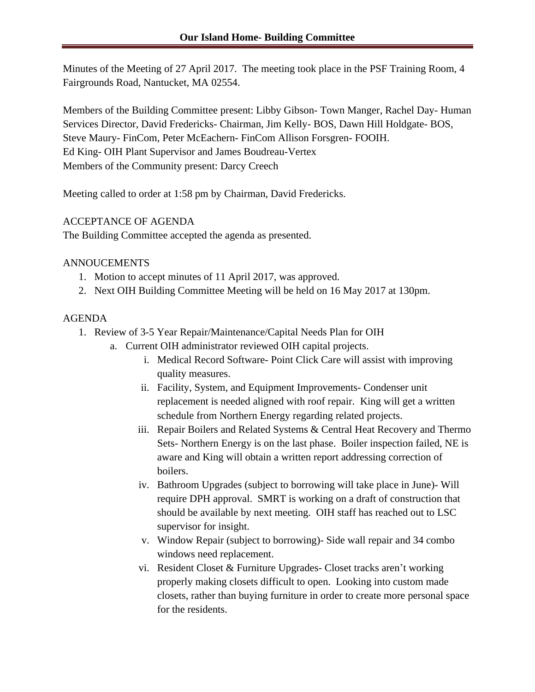Minutes of the Meeting of 27 April 2017. The meeting took place in the PSF Training Room, 4 Fairgrounds Road, Nantucket, MA 02554.

Members of the Building Committee present: Libby Gibson- Town Manger, Rachel Day- Human Services Director, David Fredericks- Chairman, Jim Kelly- BOS, Dawn Hill Holdgate- BOS, Steve Maury- FinCom, Peter McEachern- FinCom Allison Forsgren- FOOIH. Ed King- OIH Plant Supervisor and James Boudreau-Vertex Members of the Community present: Darcy Creech

Meeting called to order at 1:58 pm by Chairman, David Fredericks.

## ACCEPTANCE OF AGENDA

The Building Committee accepted the agenda as presented.

## ANNOUCEMENTS

- 1. Motion to accept minutes of 11 April 2017, was approved.
- 2. Next OIH Building Committee Meeting will be held on 16 May 2017 at 130pm.

## AGENDA

- 1. Review of 3-5 Year Repair/Maintenance/Capital Needs Plan for OIH
	- a. Current OIH administrator reviewed OIH capital projects.
		- i. Medical Record Software- Point Click Care will assist with improving quality measures.
		- ii. Facility, System, and Equipment Improvements- Condenser unit replacement is needed aligned with roof repair. King will get a written schedule from Northern Energy regarding related projects.
		- iii. Repair Boilers and Related Systems & Central Heat Recovery and Thermo Sets- Northern Energy is on the last phase. Boiler inspection failed, NE is aware and King will obtain a written report addressing correction of boilers.
		- iv. Bathroom Upgrades (subject to borrowing will take place in June)- Will require DPH approval. SMRT is working on a draft of construction that should be available by next meeting. OIH staff has reached out to LSC supervisor for insight.
		- v. Window Repair (subject to borrowing)- Side wall repair and 34 combo windows need replacement.
		- vi. Resident Closet & Furniture Upgrades- Closet tracks aren't working properly making closets difficult to open. Looking into custom made closets, rather than buying furniture in order to create more personal space for the residents.